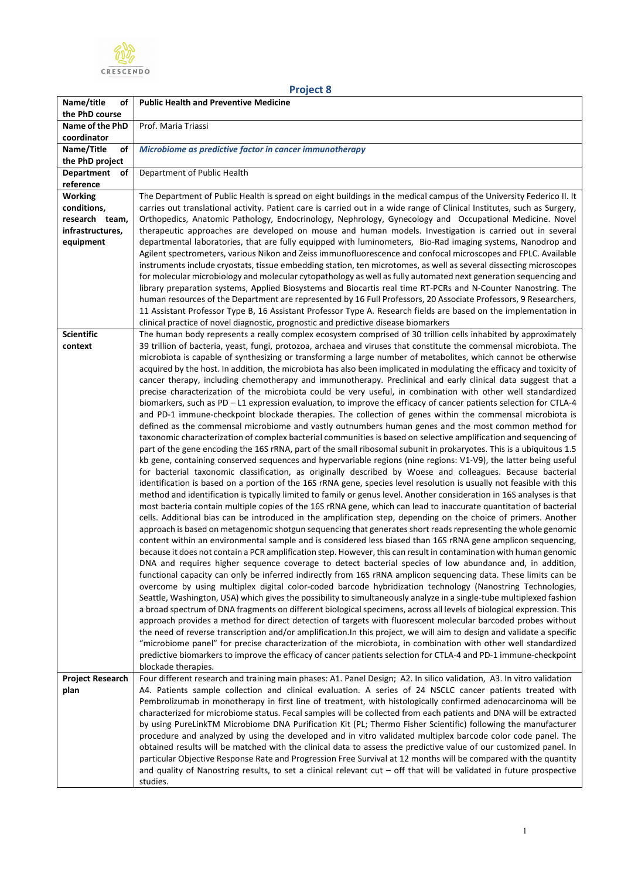

| Project 8 |
|-----------|
|-----------|

| Name/title<br>οf                    | <b>Public Health and Preventive Medicine</b>                                                                                                                                                                                           |
|-------------------------------------|----------------------------------------------------------------------------------------------------------------------------------------------------------------------------------------------------------------------------------------|
| the PhD course                      |                                                                                                                                                                                                                                        |
| Name of the PhD                     | Prof. Maria Triassi                                                                                                                                                                                                                    |
| coordinator                         |                                                                                                                                                                                                                                        |
| Name/Title<br>οf<br>the PhD project | Microbiome as predictive factor in cancer immunotherapy                                                                                                                                                                                |
| <b>Department</b><br>οf             | Department of Public Health                                                                                                                                                                                                            |
| reference                           |                                                                                                                                                                                                                                        |
| <b>Working</b>                      | The Department of Public Health is spread on eight buildings in the medical campus of the University Federico II. It                                                                                                                   |
| conditions,                         | carries out translational activity. Patient care is carried out in a wide range of Clinical Institutes, such as Surgery,                                                                                                               |
| research team,                      | Orthopedics, Anatomic Pathology, Endocrinology, Nephrology, Gynecology and Occupational Medicine. Novel                                                                                                                                |
| infrastructures,                    | therapeutic approaches are developed on mouse and human models. Investigation is carried out in several                                                                                                                                |
| equipment                           | departmental laboratories, that are fully equipped with luminometers, Bio-Rad imaging systems, Nanodrop and                                                                                                                            |
|                                     | Agilent spectrometers, various Nikon and Zeiss immunofluorescence and confocal microscopes and FPLC. Available                                                                                                                         |
|                                     | instruments include cryostats, tissue embedding station, ten microtomes, as well as several dissecting microscopes                                                                                                                     |
|                                     | for molecular microbiology and molecular cytopathology as well as fully automated next generation sequencing and<br>library preparation systems, Applied Biosystems and Biocartis real time RT-PCRs and N-Counter Nanostring. The      |
|                                     | human resources of the Department are represented by 16 Full Professors, 20 Associate Professors, 9 Researchers,                                                                                                                       |
|                                     | 11 Assistant Professor Type B, 16 Assistant Professor Type A. Research fields are based on the implementation in                                                                                                                       |
|                                     | clinical practice of novel diagnostic, prognostic and predictive disease biomarkers                                                                                                                                                    |
| <b>Scientific</b>                   | The human body represents a really complex ecosystem comprised of 30 trillion cells inhabited by approximately                                                                                                                         |
| context                             | 39 trillion of bacteria, yeast, fungi, protozoa, archaea and viruses that constitute the commensal microbiota. The                                                                                                                     |
|                                     | microbiota is capable of synthesizing or transforming a large number of metabolites, which cannot be otherwise                                                                                                                         |
|                                     | acquired by the host. In addition, the microbiota has also been implicated in modulating the efficacy and toxicity of<br>cancer therapy, including chemotherapy and immunotherapy. Preclinical and early clinical data suggest that a  |
|                                     | precise characterization of the microbiota could be very useful, in combination with other well standardized                                                                                                                           |
|                                     | biomarkers, such as PD - L1 expression evaluation, to improve the efficacy of cancer patients selection for CTLA-4                                                                                                                     |
|                                     | and PD-1 immune-checkpoint blockade therapies. The collection of genes within the commensal microbiota is                                                                                                                              |
|                                     | defined as the commensal microbiome and vastly outnumbers human genes and the most common method for                                                                                                                                   |
|                                     | taxonomic characterization of complex bacterial communities is based on selective amplification and sequencing of                                                                                                                      |
|                                     | part of the gene encoding the 16S rRNA, part of the small ribosomal subunit in prokaryotes. This is a ubiquitous 1.5                                                                                                                   |
|                                     | kb gene, containing conserved sequences and hypervariable regions (nine regions: V1-V9), the latter being useful<br>for bacterial taxonomic classification, as originally described by Woese and colleagues. Because bacterial         |
|                                     | identification is based on a portion of the 16S rRNA gene, species level resolution is usually not feasible with this                                                                                                                  |
|                                     | method and identification is typically limited to family or genus level. Another consideration in 16S analyses is that                                                                                                                 |
|                                     | most bacteria contain multiple copies of the 16S rRNA gene, which can lead to inaccurate quantitation of bacterial                                                                                                                     |
|                                     | cells. Additional bias can be introduced in the amplification step, depending on the choice of primers. Another                                                                                                                        |
|                                     | approach is based on metagenomic shotgun sequencing that generates short reads representing the whole genomic                                                                                                                          |
|                                     | content within an environmental sample and is considered less biased than 16S rRNA gene amplicon sequencing,                                                                                                                           |
|                                     | because it does not contain a PCR amplification step. However, this can result in contamination with human genomic<br>DNA and requires higher sequence coverage to detect bacterial species of low abundance and, in addition,         |
|                                     | functional capacity can only be inferred indirectly from 16S rRNA amplicon sequencing data. These limits can be                                                                                                                        |
|                                     | overcome by using multiplex digital color-coded barcode hybridization technology (Nanostring Technologies,                                                                                                                             |
|                                     | Seattle, Washington, USA) which gives the possibility to simultaneously analyze in a single-tube multiplexed fashion                                                                                                                   |
|                                     | a broad spectrum of DNA fragments on different biological specimens, across all levels of biological expression. This                                                                                                                  |
|                                     | approach provides a method for direct detection of targets with fluorescent molecular barcoded probes without                                                                                                                          |
|                                     | the need of reverse transcription and/or amplification. In this project, we will aim to design and validate a specific                                                                                                                 |
|                                     | "microbiome panel" for precise characterization of the microbiota, in combination with other well standardized<br>predictive biomarkers to improve the efficacy of cancer patients selection for CTLA-4 and PD-1 immune-checkpoint     |
|                                     | blockade therapies.                                                                                                                                                                                                                    |
| <b>Project Research</b>             | Four different research and training main phases: A1. Panel Design; A2. In silico validation, A3. In vitro validation                                                                                                                  |
| plan                                | A4. Patients sample collection and clinical evaluation. A series of 24 NSCLC cancer patients treated with                                                                                                                              |
|                                     | Pembrolizumab in monotherapy in first line of treatment, with histologically confirmed adenocarcinoma will be                                                                                                                          |
|                                     | characterized for microbiome status. Fecal samples will be collected from each patients and DNA will be extracted                                                                                                                      |
|                                     | by using PureLinkTM Microbiome DNA Purification Kit (PL; Thermo Fisher Scientific) following the manufacturer                                                                                                                          |
|                                     | procedure and analyzed by using the developed and in vitro validated multiplex barcode color code panel. The                                                                                                                           |
|                                     | obtained results will be matched with the clinical data to assess the predictive value of our customized panel. In<br>particular Objective Response Rate and Progression Free Survival at 12 months will be compared with the quantity |
|                                     | and quality of Nanostring results, to set a clinical relevant $cut -$ off that will be validated in future prospective                                                                                                                 |
|                                     | studies.                                                                                                                                                                                                                               |